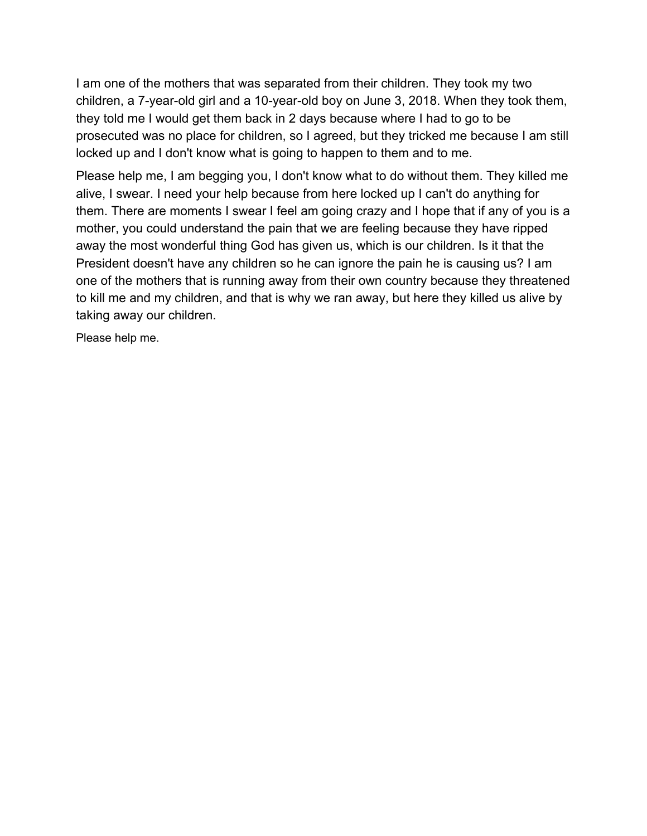I am one of the mothers that was separated from their children. They took my two children, a 7-year-old girl and a 10-year-old boy on June 3, 2018. When they took them, they told me I would get them back in 2 days because where I had to go to be prosecuted was no place for children, so I agreed, but they tricked me because I am still locked up and I don't know what is going to happen to them and to me.

Please help me, I am begging you, I don't know what to do without them. They killed me alive, I swear. I need your help because from here locked up I can't do anything for them. There are moments I swear I feel am going crazy and I hope that if any of you is a mother, you could understand the pain that we are feeling because they have ripped away the most wonderful thing God has given us, which is our children. Is it that the President doesn't have any children so he can ignore the pain he is causing us? I am one of the mothers that is running away from their own country because they threatened to kill me and my children, and that is why we ran away, but here they killed us alive by taking away our children.

Please help me.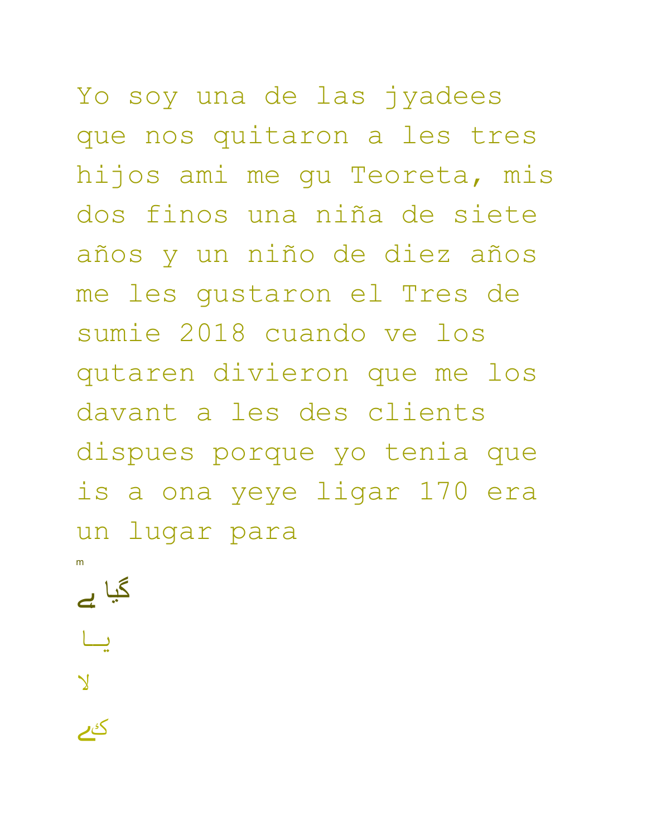Yo soy una de las jyadees que nos quitaron a les tres hijos ami me gu Teoreta, mis dos finos una niña de siete años y un niño de diez años me les gustaron el Tres de sumie 2018 cuando ve los qutaren divieron que me los davant a les des clients dispues porque yo tenia que is a ona yeye ligar 170 era un lugar para

m

گیا ہے

یا

لا

کے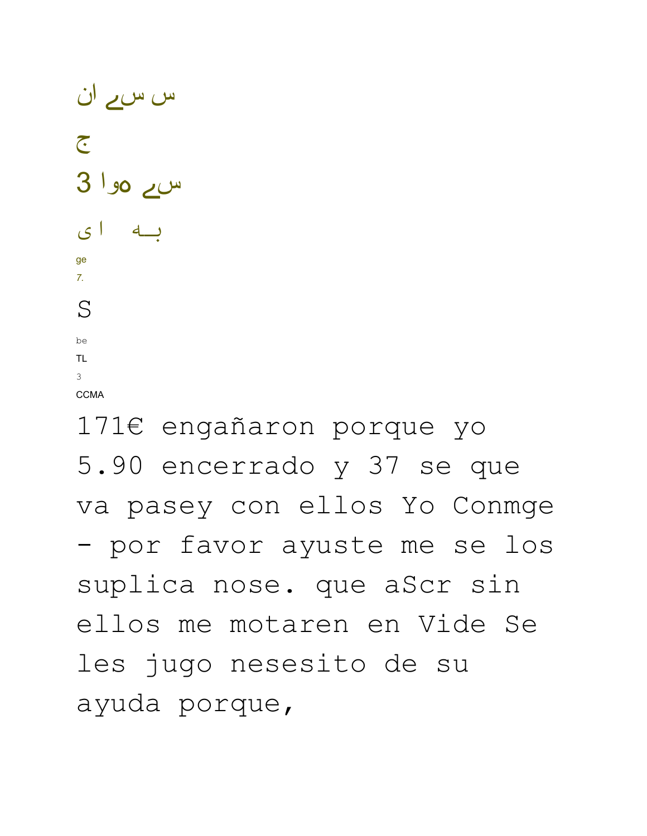be TL.  $\overline{3}$ **CCMA**  $171\epsilon$  engañaron porque yo 5.90 encerrado y 37 se que va pasey con ellos Yo Conmge - por favor ayuste me se los suplica nose. que aScr sin ellos me motaren en Vide Se les jugo nesesito de su ayuda porque,

س ے موا 3 به ای

ge  $7.$ 

 $S$ 

س س<u>ے</u> ان  $\tilde{C}$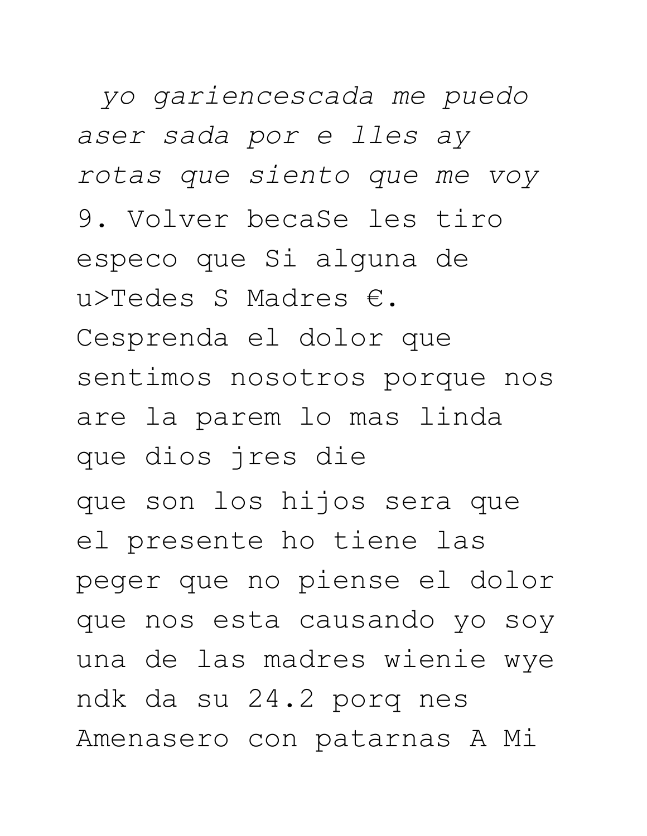yo gariencescada me puedo aser sada por e lles ay rotas que siento que me voy 9. Volver becaSe les tiro especo que Si alguna de u>Tedes S Madres  $\epsilon$ . Cesprenda el dolor que sentimos nosotros porque nos are la parem lo mas linda que dios jres die que son los hijos sera que el presente ho tiene las peger que no piense el dolor que nos esta causando yo soy una de las madres wienie wye ndk da su 24.2 porq nes Amenasero con patarnas A Mi